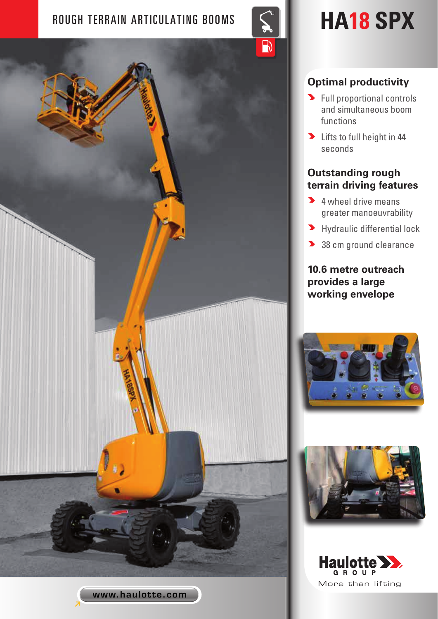# ROUGH TERRAIN ARTICULATING BOOMS  $\left\lvert \left\lvert \left\lvert \right\rvert \right\rvert \right\rvert$  **HA18 SPX**



# **Optimal productivity**

- **>** Full proportional controls and simultaneous boom functions
- Duits to full height in 44 seconds

# **Outstanding rough terrain driving features**

- **4** wheel drive means greater manoeuvrability
- **>** Hydraulic differential lock
- 38 cm ground clearance

**10.6 metre outreach provides a large working envelope**







www.haulotte.com